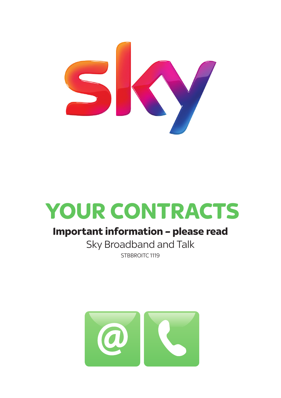

# **YOUR CONTRACTS**

# **Important information – please read**

Sky Broadband and Talk STBBROITC<sub>1119</sub>

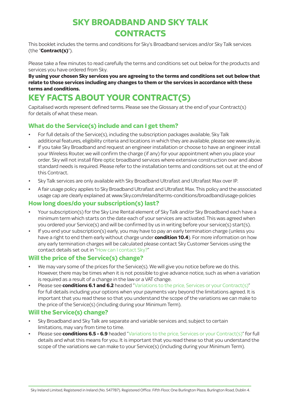# **SKY BROADBAND AND SKY TALK CONTRACTS**

This booklet includes the terms and conditions for Sky's Broadband services and/or Sky Talk services (the "**Contract(s)**").

Please take a few minutes to read carefully the terms and conditions set out below for the products and services you have ordered from Sky.

**By using your chosen Sky services you are agreeing to the terms and conditions set out below that relate to those services including any changes to them or the services in accordance with these terms and conditions.** 

# **KEY FACTS ABOUT YOUR CONTRACT(S)**

Capitalised words represent defined terms. Please see the Glossary at the end of your Contract(s) for details of what these mean.

# **What do the Service(s) include and can I get them?**

- For full details of the Service(s), including the subscription packages available, Sky Talk additional features, eligibility criteria and locations in which they are available, please see www.sky.ie.
- If you take Sky Broadband and request an engineer installation or choose to have an engineer install your Wireless Router, we will confirm the charge (if any) for your appointment when you place your order. Sky will not install fibre optic broadband services where extensive construction over and above standard needs is required. Please refer to the installation terms and conditions set out at the end of this Contract.
- Sky Talk services are only available with Sky Broadband Ultrafast and Ultrafast Max over IP.
- A fair usage policy applies to Sky Broadband Ultrafast and Ultrafast Max. This policy and the associated usage cap are clearly explained at www.Sky.com/Ireland/terms-conditions/broadband/usage-policies

## **How long does/do your subscription(s) last?**

- Your subscription(s) for the Sky Line Rental element of Sky Talk and/or Sky Broadband each have a minimum term which starts on the date each of your services are activated. This was agreed when you ordered your Service(s) and will be confirmed by us in writing before your service(s) start(s).
- If you end your subscription(s) early, you may have to pay an early termination charge (unless you have a right to end them early without charge under **condition 10.4**). For more information on how any early termination charges will be calculated please contact Sky Customer Services using the contact details set out in "How can I contact Sky?"

# **Will the price of the Service(s) change?**

- We may vary some of the prices for the Service(s). We will give you notice before we do this. However, there may be times when it is not possible to give advance notice, such as when a variation is required as a result of a change in the law or a VAT change.
- Please see **conditions 6.1 and 6.2** headed "Variations to the price, Services or your Contract(s)" for full details including your options when your payments vary beyond the limitations agreed. It is important that you read these so that you understand the scope of the variations we can make to the price of the Service(s) (including during your Minimum Term).

# **Will the Service(s) change?**

- Sky Broadband and Sky Talk are separate and variable services and, subject to certain limitations, may vary from time to time.
- Please see **conditions 6.5 6.9** headed "Variations to the price, Services or your Contract(s)" for full details and what this means for you. It is important that you read these so that you understand the scope of the variations we can make to your Service(s) (including during your Minimum Term).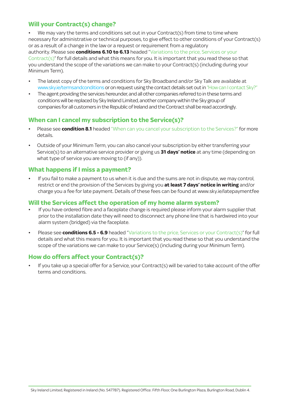# **Will your Contract(s) change?**

We may vary the terms and conditions set out in your Contract(s) from time to time where necessary for administrative or technical purposes, to give effect to other conditions of your Contract(s) or as a result of a change in the law or a request or requirement from a regulatory authority. Please see **conditions 6.10 to 6.13** headed "Variations to the price, Services or your Contract(s)" for full details and what this means for you. It is important that you read these so that you understand the scope of the variations we can make to your Contract(s) (including during your Minimum Term).

- The latest copy of the terms and conditions for Sky Broadband and/or Sky Talk are available at www.sky.ie/termsandconditions or on request using the contact details set out in "How can I contact Sky?"
- The agent providing the services hereunder, and all other companies referred to in these terms and conditions will be replaced by Sky Ireland Limited, another company within the Sky group of companies for all customers in the Republic of Ireland and the Contract shall be read accordingly.

# **When can I cancel my subscription to the Service(s)?**

- Please see **condition 8.1** headed "When can you cancel your subscription to the Services?" for more details.
- Outside of your Minimum Term, you can also cancel your subscription by either transferring your Service(s) to an alternative service provider or giving us **31 days' notice** at any time (depending on what type of service you are moving to (if any)).

## **What happens if I miss a payment?**

• If you fail to make a payment to us when it is due and the sums are not in dispute, we may control, restrict or end the provision of the Services by giving you **at least 7 days' notice in writing** and/or charge you a fee for late payment. Details of these fees can be found at www.sky.ie/latepaymentfee

## **Will the Services affect the operation of my home alarm system?**

- If you have ordered fibre and a faceplate change is required please inform your alarm supplier that prior to the installation date they will need to disconnect any phone line that is hardwired into your alarm system (bridged) via the faceplate.
- Please see **conditions 6.5 6.9** headed "Variations to the price, Services or your Contract(s)" for full details and what this means for you. It is important that you read these so that you understand the scope of the variations we can make to your Service(s) (including during your Minimum Term).

## **How do offers affect your Contract(s)?**

• If you take up a special offer for a Service, your Contract(s) will be varied to take account of the offer terms and conditions.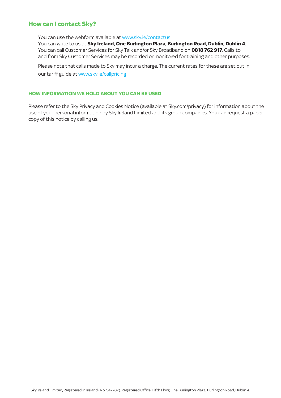# **How can I contact Sky?**

You can use the webform available at www.sky.ie/contactus

 You can write to us at **Sky Ireland, One Burlington Plaza, Burlington Road, Dublin, Dublin 4**. You can call Customer Services for Sky Talk and/or Sky Broadband on **0818 762 917**. Calls to and from Sky Customer Services may be recorded or monitored for training and other purposes.

 Please note that calls made to Sky may incur a charge. The current rates for these are set out in our tariff guide at www.sky.ie/callpricing

#### **HOW INFORMATION WE HOLD ABOUT YOU CAN BE USED**

Please refer to the Sky Privacy and Cookies Notice (available at Sky.com/privacy) for information about the use of your personal information by Sky Ireland Limited and its group companies. You can request a paper copy of this notice by calling us.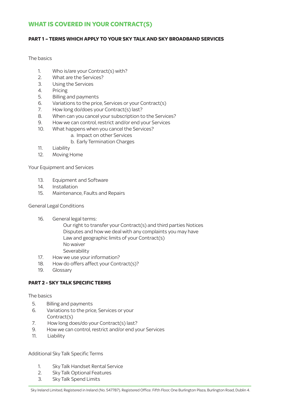# **WHAT IS COVERED IN YOUR CONTRACT(S)**

#### **PART 1 – TERMS WHICH APPLY TO YOUR SKY TALK AND SKY BROADBAND SERVICES**

The basics

- 1. Who is/are your Contract(s) with?
- 2. What are the Services?
- 3. Using the Services
- 4. Pricing
- 5. Billing and payments
- 6. Variations to the price, Services or your Contract(s)<br>7. How long do/does your Contract(s) last?
- 7. How long do/does your Contract(s) last?
- 8. When can you cancel your subscription to the Services?
- 9. How we can control, restrict and/or end your Services
- 10. What happens when you cancel the Services?
	- a. Impact on other Services
	- b. Early Termination Charges
- 11. Liability
- 12. Moving Home

Your Equipment and Services

- 13. Equipment and Software
- 14. Installation
- 15. Maintenance, Faults and Repairs

General Legal Conditions

16. General legal terms:

 Our right to transfer your Contract(s) and third parties Notices Disputes and how we deal with any complaints you may have Law and geographic limits of your Contract(s) No waiver Severability

- 17. How we use your information?
- 18. How do offers affect your Contract(s)?
- 19. Glossary

#### **PART 2 - SKY TALK SPECIFIC TERMS**

The basics

- 5. Billing and payments
- 6. Variations to the price, Services or your  $\text{Contract(s)}$
- 7. How long does/do your Contract(s) last?
- 9. How we can control, restrict and/or end your Services 9. How we can control, restrict and/or end your Services
- 11. Liability 11. Liability

Additional Sky Talk Specific Terms

- 1. Sky Talk Handset Rental Service
- 2. Sky Talk Optional Features
- 3. Sky Talk Spend Limits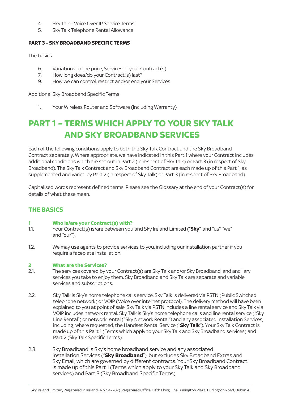- 4. Sky Talk Voice Over IP Service Terms
- 5. Sky Talk Telephone Rental Allowance

#### **PART 3 - SKY BROADBAND SPECIFIC TERMS**

The basics

- 6. Variations to the price, Services or your Contract(s)<br>7. How long does/do your Contract(s) last?
- How long does/do your Contract(s) last?
- 9. How we can control, restrict and/or end your Services

Additional Sky Broadband Specific Terms

1. Your Wireless Router and Software (including Warranty)

# **PART 1 – TERMS WHICH APPLY TO YOUR SKY TALK AND SKY BROADBAND SERVICES**

Each of the following conditions apply to both the Sky Talk Contract and the Sky Broadband Contract separately. Where appropriate, we have indicated in this Part 1 where your Contract includes additional conditions which are set out in Part 2 (in respect of Sky Talk) or Part 3 (in respect of Sky Broadband). The Sky Talk Contract and Sky Broadband Contract are each made up of this Part 1, as supplemented and varied by Part 2 (in respect of Sky Talk) or Part 3 (in respect of Sky Broadband).

Capitalised words represent defined terms. Please see the Glossary at the end of your Contract(s) for details of what these mean.

# **THE BASICS**

# **1 Who is/are your Contract(s) with?**<br>11 Your Contract(s) is/are between you

- 1.1. Your Contract(s) is/are between you and Sky Ireland Limited ("**Sky**", and "us", "we" and "our").
- 1.2. We may use agents to provide services to you, including our installation partner if you require a faceplate installation.

#### **2 What are the Services?**

- 2.1. The services covered by your Contract(s) are Sky Talk and/or Sky Broadband, and ancillary services you take to enjoy them. Sky Broadband and Sky Talk are separate and variable services and subscriptions.
- 2.2. Sky Talk is Sky's home telephone calls service. Sky Talk is delivered via PSTN (Public Switched telephone network) or VOIP (Voice over internet protocol). The delivery method will have been explained to you at point of sale. Sky Talk via PSTN includes a line rental service and Sky Talk via VOIP includes network rental. Sky Talk is Sky's home telephone calls and line rental service ("Sky Line Rental") or network rental ("Sky Network Rental") and any associated Installation Services, including, where requested, the Handset Rental Service ("**Sky Talk**"). Your Sky Talk Contract is made up of this Part 1 (Terms which apply to your Sky Talk and Sky Broadband services) and Part 2 (Sky Talk Specific Terms).
- 2.3. Sky Broadband is Sky's home broadband service and any associated Installation Services ("**Sky Broadband**"), but excludes Sky Broadband Extras and Sky Email, which are governed by different contracts. Your Sky Broadband Contract is made up of this Part 1 (Terms which apply to your Sky Talk and Sky Broadband services) and Part 3 (Sky Broadband Specific Terms).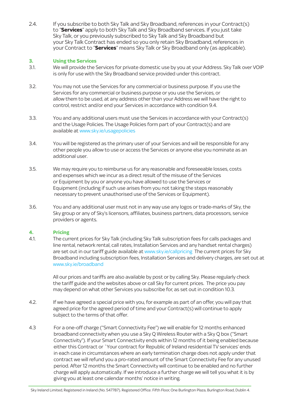2.4. If you subscribe to both Sky Talk and Sky Broadband, references in your Contract(s) to "**Services**" apply to both Sky Talk and Sky Broadband services. If you just take Sky Talk, or you previously subscribed to Sky Talk and Sky Broadband but your Sky Talk Contract has ended so you only retain Sky Broadband, references in your Contract to "**Services**" means Sky Talk or Sky Broadband only (as applicable).

#### **3. Using the Services**

- 3.1. We will provide the Services for private domestic use by you at your Address. Sky Talk over VOIP is only for use with the Sky Broadband service provided under this contract.
- 3.2. You may not use the Services for any commercial or business purpose. If you use the Services for any commercial or business purpose or you use the Services, or allow them to be used, at any address other than your Address we will have the right to control, restrict and/or end your Services in accordance with condition 9.4.
- 3.3. You and any additional users must use the Services in accordance with your Contract(s) and the Usage Policies. The Usage Policies form part of your Contract(s) and are available at www.sky.ie/usagepolicies
- 3.4. You will be registered as the primary user of your Services and will be responsible for any other people you allow to use or access the Services or anyone else you nominate as an additional user.
- 3.5. We may require you to reimburse us for any reasonable and foreseeable losses, costs and expenses which we incur as a direct result of the misuse of the Services or Equipment by you or anyone you have allowed to use the Services or Equipment (including if such use arises from you not taking the steps reasonably necessary to prevent unauthorised use of the Services or Equipment).
- 3.6. You and any additional user must not in any way use any logos or trade-marks of Sky, the Sky group or any of Sky's licensors, affiliates, business partners, data processors, service providers or agents.

#### **4. Pricing**

4.1. The current prices for Sky Talk (including Sky Talk subscription fees for calls packages and line rental, network rental, call rates, Installation Services and any handset rental charges) are set out in our tariff guide available at www.sky.ie/callpricing The current prices for Sky Broadband including subscription fees, Installation Services and delivery charges, are set out at www.sky.ie/broadband

> All our prices and tariffs are also available by post or by calling Sky. Please regularly check the tariff guide and the websites above or call Sky for current prices. The price you pay may depend on what other Services you subscribe for, as set out in condition 10.3.

- 4.2. If we have agreed a special price with you, for example as part of an offer, you will pay that agreed price for the agreed period of time and your Contract(s) will continue to apply subject to the terms of that offer.
- giving you at least one calendar months' notice in writing. 4.3 For a one-off charge ("Smart Connectivity Fee") we will enable for 12 months enhanced broadband connectivity when you use a Sky Q Wireless Router with a Sky Q box ("Smart Connectivity"). If your Smart Connectivity ends within 12 months of it being enabled because either this Contract or `Your contract for Republic of Ireland residential TV services' ends in each case in circumstances where an early termination charge does not apply under that contract we will refund you a pro-rated amount of the Smart Connectivity Fee for any unused period. After 12 months the Smart Connectivity will continue to be enabled and no further charge will apply automatically. If we introduce a further charge we will tell you what it is by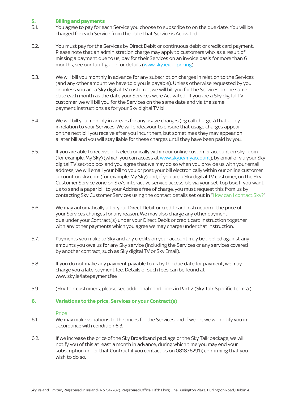#### **5. Billing and payments**

- 5.1. You agree to pay for each Service you choose to subscribe to on the due date. You will be charged for each Service from the date that Service is Activated.
- 5.2. You must pay for the Services by Direct Debit or continuous debit or credit card payment. Please note that an administration charge may apply to customers who, as a result of missing a payment due to us, pay for their Services on an invoice basis for more than 6 months, see our tariff guide for details (www.sky.ie/callpricing).
- 5.3. We will bill you monthly in advance for any subscription charges in relation to the Services (and any other amount we have told you is payable). Unless otherwise requested by you or unless you are a Sky digital TV customer, we will bill you for the Services on the same date each month as the date your Services were Activated. If you are a Sky digital TV customer, we will bill you for the Services on the same date and via the same payment instructions as for your Sky digital TV bill.
- 5.4. We will bill you monthly in arrears for any usage charges (eg call charges) that apply in relation to your Services. We will endeavour to ensure that usage charges appear on the next bill you receive after you incur them, but sometimes they may appear on a later bill and you will stay liable for these charges until they have been paid by you.
- 5.5. If you are able to receive bills electronically within our online customer account on sky. com (for example, My Sky) (which you can access at www.sky.ie/myaccount), by email or via your Sky digital TV set-top box and you agree that we may do so when you provide us with your email address, we will email your bill to you or post your bill electronically within our online customer account on sky.com (for example, My Sky) and, if you are a Sky digital TV customer, on the Sky Customer Service zone on Sky's interactive service accessible via your set-top box. If you want us to send a paper bill to your Address free of charge, you must request this from us by contacting Sky Customer Services using the contact details set out in "How can I contact Sky?"
- 5.6. We may automatically alter your Direct Debit or credit card instruction if the price of your Services changes for any reason. We may also charge any other payment due under your Contract(s) under your Direct Debit or credit card instruction together with any other payments which you agree we may charge under that instruction.
- 5.7. Payments you make to Sky and any credits on your account may be applied against any amounts you owe us for any Sky service (including the Services or any services covered by another contract, such as Sky digital TV or Sky Email).
- 5.8. If you do not make any payment payable to us by the due date for payment, we may charge you a late payment fee. Details of such fees can be found at www.sky.ie/latepaymentfee
- 5.9. (Sky Talk customers, please see additional conditions in Part 2 (Sky Talk Specific Terms).)

#### **6. Variations to the price, Services or your Contract(s)**

#### Price

- 6.1. We may make variations to the prices for the Services and if we do, we will notify you in accordance with condition 6.3.
- 6.2. If we increase the price of the Sky Broadband package or the Sky Talk package, we will notify you of this at least a month in advance, during which time you may end your subscription under that Contract if you contact us on 0818762917, confirming that you wish to do so.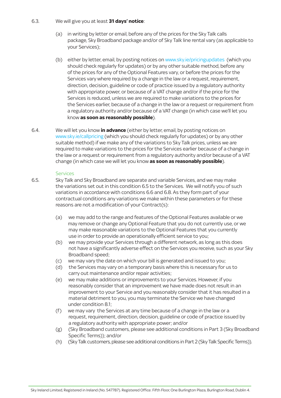#### 6.3. We will give you at least **31 days' notice**:

- (a) in writing by letter or email, before any of the prices for the Sky Talk calls package, Sky Broadband package and/or of Sky Talk line rental vary (as applicable to your Services);
- (b) either by letter, email, by posting notices on www.sky.ie/pricingupdates (which you should check regularly for updates) or by any other suitable method, before any of the prices for any of the Optional Features vary, or before the prices for the Services vary where required by a change in the law or a request, requirement, direction, decision, guideline or code of practice issued by a regulatory authority with appropriate power, or because of a VAT change and/or if the price for the Services is reduced, unless we are required to make variations to the prices for the Services earlier, because of a change in the law or a request or requirement from a regulatory authority and/or because of a VAT change (in which case we'll let you know **as soon as reasonably possible**).
- 6.4. We will let you know **in advance** (either by letter, email, by posting notices on www.sky.ie/callpricing (which you should check regularly for updates) or by any other suitable method) if we make any of the variations to Sky Talk prices, unless we are required to make variations to the prices for the Services earlier because of a change in the law or a request or requirement from a regulatory authority and/or because of a VAT change (in which case we will let you know **as soon as reasonably possible**).

#### **Services**

- 6.5. Sky Talk and Sky Broadband are separate and variable Services, and we may make the variations set out in this condition 6.5 to the Services. We will notify you of such variations in accordance with conditions 6.6 and 6.8. As they form part of your contractual conditions any variations we make within these parameters or for these reasons are not a modification of your Contract(s):
	- (a) we may add to the range and features of the Optional Features available or we may remove or change any Optional Feature that you do not currently use, or we may make reasonable variations to the Optional Features that you currently use in order to provide an operationally efficient service to you;
	- (b) we may provide your Services through a different network, as long as this does not have a significantly adverse effect on the Services you receive, such as your Sky Broadband speed;
	- (c) we may vary the date on which your bill is generated and issued to you;
	- (d) the Services may vary on a temporary basis where this is necessary for us to carry out maintenance and/or repair activities;
	- (e) we may make additions or improvements to your Services. However, if you reasonably consider that an improvement we have made does not result in an improvement to your Service and you reasonably consider that it has resulted in a material detriment to you, you may terminate the Service we have changed under condition 8.1;
	- (f) we may vary the Services at any time because of a change in the law or a request, requirement, direction, decision, guideline or code of practice issued by a regulatory authority with appropriate power; and/or
	- (g) (Sky Broadband customers, please see additional conditions in Part 3 (Sky Broadband Specific Terms)); and/or
	- (h) (Sky Talk customers, please see additional conditions in Part 2 (Sky Talk Specific Terms)).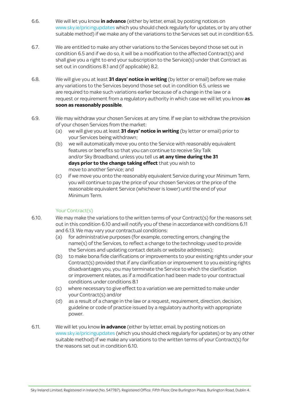- 6.6. We will let you know **in advance** (either by letter, email, by posting notices on www.sky.ie/pricingupdates which you should check regularly for updates, or by any other suitable method) if we make any of the variations to the Services set out in condition 6.5.
- 6.7. We are entitled to make any other variations to the Services beyond those set out in condition 6.5 and if we do so, it will be a modification to the affected Contract(s) and shall give you a right to end your subscription to the Service(s) under that Contract as set out in conditions 8.1 and (if applicable) 8.2.
- 6.8. We will give you at least **31 days' notice in writing** (by letter or email) before we make any variations to the Services beyond those set out in condition 6.5, unless we are required to make such variations earlier because of a change in the law or a request or requirement from a regulatory authority in which case we will let you know **as soon as reasonably possible**.
- 6.9. We may withdraw your chosen Services at any time. If we plan to withdraw the provision of your chosen Services from the market:
	- (a) we will give you at least **31 days' notice in writing** (by letter or email) prior to your Services being withdrawn;
	- (b) we will automatically move you onto the Service with reasonably equivalent features or benefits so that you can continue to receive Sky Talk and/or Sky Broadband, unless you tell us **at any time during the 31 days prior to the change taking effect** that you wish to move to another Service; and
	- (c) if we move you onto the reasonably equivalent Service during your Minimum Term, you will continue to pay the price of your chosen Services or the price of the reasonable equivalent Service (whichever is lower) until the end of your Minimum Term.

#### Your Contract(s)

- 6.10. We may make the variations to the written terms of your Contract(s) for the reasons set out in this condition 6.10 and will notify you of these in accordance with conditions 6.11 and 6.13. We may vary your contractual conditions:
	- (a) for administrative purposes (for example, correcting errors, changing the name(s) of the Services, to reflect a change to the technology used to provide the Services and updating contact details or website addresses);
	- (b) to make bona fide clarifications or improvements to your existing rights under your Contract(s) provided that if any clarification or improvement to you existing rights disadvantages you, you may terminate the Service to which the clarification or improvement relates, as if a modification had been made to your contractual conditions under conditions 8.1
	- (c) where necessary to give effect to a variation we are permitted to make under your Contract(s) and/or
	- (d) as a result of a change in the law or a request, requirement, direction, decision, guideline or code of practice issued by a regulatory authority with appropriate power.
- 6.11. We will let you know **in advance** (either by letter, email, by posting notices on www.sky.ie/pricingupdates (which you should check regularly for updates) or by any other suitable method) if we make any variations to the written terms of your Contract(s) for the reasons set out in condition 6.10.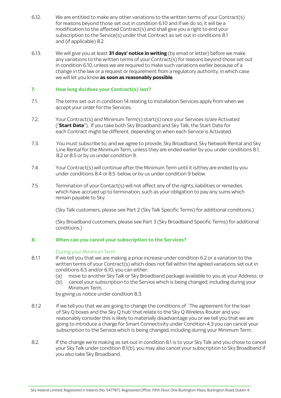- 6.12. We are entitled to make any other variations to the written terms of your Contract(s) for reasons beyond those set out in condition 6.10 and if we do so, it will be a modification to the affected Contract(s) and shall give you a right to end your subscription to the Service(s) under that Contract as set out in conditions 8.1 and (if applicable) 8.2.
- 6.13. We will give you at least **31 days' notice in writing** (by email or letter) before we make any variations to the written terms of your Contract(s) for reasons beyond those set out in condition 6.10, unless we are required to make such variations earlier because of a change in the law or a request or requirement from a regulatory authority, in which case we will let you know **as soon as reasonably possible**.

#### **7. How long do/does your Contract(s) last?**

- 7.1. The terms set out in condition 14 relating to Installation Services apply from when we accept your order for the Services.
- 7.2. Your Contract(s) and Minimum Term(s) start(s) once your Services is/are Activated ("**Start Date**"). If you take both Sky Broadband and Sky Talk, the Start Date for each Contract might be different, depending on when each Service is Activated.
- 7.3. You must subscribe to, and we agree to provide, Sky Broadband, Sky Network Rental and Sky Line Rental for the Minimum Term, unless they are ended earlier by you under conditions 8.1, 8.2 or 8.5 or by us under condition 9.
- 7.4. Your Contract(s) will continue after the Minimum Term until it is/they are ended by you under conditions 8.4 or 8.5 below, or by us under condition 9 below.
- 7.5. Termination of your Contact(s) will not affect any of the rights, liabilities or remedies which have accrued up to termination, such as your obligation to pay any sums which remain payable to Sky.

(Sky Talk customers, please see Part 2 (Sky Talk Specific Terms) for additional conditions.)

(Sky Broadband customers, please see Part 3 (Sky Broadband Specific Terms) for additional conditions.)

#### **8. When can you cancel your subscription to the Services?**

#### During your Minimum Term

- 8.1.1 If we tell you that we are making a price increase under condition 6.2 or a variation to the written terms of your Contract(s) which does not fall within the agreed variations set out in conditions 6.5 and/or 6.10, you can either:
	- (a) move to another Sky Talk or Sky Broadband package available to you at your Address; or
	- (b) cancel your subscription to the Service which is being changed, including during your Minimum Term,

by giving us notice under condition 8.3.

- 8.1.2 If we tell you that we are going to change the conditions of `The agreement for the loan of Sky Q boxes and the Sky Q hub' that relate to the Sky Q Wireless Router and you reasonably consider this is likely to materially disadvantage you or we tell you that we are going to introduce a charge for Smart Connectivity under Condition 4.3 you can cancel your subscription to the Service which is being changed, including during your Minimum Term.
- 8.2. If the change we're making as set out in condition 8.1 is to your Sky Talk and you chose to cancel your Sky Talk under condition 8.1(b), you may also cancel your subscription to Sky Broadband if you also take Sky Broadband.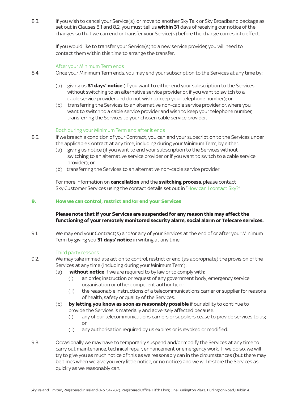8.3. If you wish to cancel your Service(s), or move to another Sky Talk or Sky Broadband package as set out in Clauses 8.1 and 8.2, you must tell us **within 31** days of receiving our notice of the changes so that we can end or transfer your Service(s) before the change comes into effect.

> If you would like to transfer your Service(s) to a new service provider, you will need to contact them within this time to arrange the transfer.

#### After your Minimum Term ends

- 8.4. Once your Minimum Term ends, you may end your subscription to the Services at any time by:
	- (a) giving us **31 days' notice** (if you want to either end your subscription to the Services without switching to an alternative service provider or, if you want to switch to a cable service provider and do not wish to keep your telephone number); or
	- (b) transferring the Services to an alternative non-cable service provider or, where you want to switch to a cable service provider and wish to keep your telephone number, transferring the Services to your chosen cable service provider.

#### Both during your Minimum Term and after it ends

- 8.5. If we breach a condition of your Contract, you can end your subscription to the Services under the applicable Contract at any time, including during your Minimum Term, by either:
	- (a) giving us notice (if you want to end your subscription to the Services without switching to an alternative service provider or if you want to switch to a cable service provider); or
	- (b) transferring the Services to an alternative non-cable service provider.

For more information on **cancellation** and the **switching process**, please contact Sky Customer Services using the contact details set out in "How can I contact Sky?"

#### **9. How we can control, restrict and/or end your Services**

#### **Please note that if your Services are suspended for any reason this may affect the functioning of your remotely monitored security alarm, social alarm or Telecare services.**

9.1. We may end your Contract(s) and/or any of your Services at the end of or after your Minimum Term by giving you **31 days' notice** in writing at any time.

#### Third party reasons

- 9.2. We may take immediate action to control, restrict or end (as appropriate) the provision of the Services at any time (including during your Minimum Term):
	- (a) **without notice** if we are required to by law or to comply with:
		- (i) an order, instruction or request of any government body, emergency service organisation or other competent authority; or
		- (ii) the reasonable instructions of a telecommunications carrier or supplier for reasons of health, safety or quality of the Services.
	- (b) **by letting you know as soon as reasonably possible** if our ability to continue to provide the Services is materially and adversely affected because:
- (i) any of our telecommunications carriers or suppliers cease to provide services to us; **order** the contract of the contract of the contract of the contract of the contract of the contract of the contract of the contract of the contract of the contract of the contract of the contract of the contract of the co
	- (ii) any authorisation required by us expires or is revoked or modified.
- 9.3. Occasionally we may have to temporarily suspend and/or modify the Services at any time to carry out maintenance, technical repair, enhancement or emergency work. If we do so, we will try to give you as much notice of this as we reasonably can in the circumstances (but there may be times when we give you very little notice, or no notice) and we will restore the Services as quickly as we reasonably can.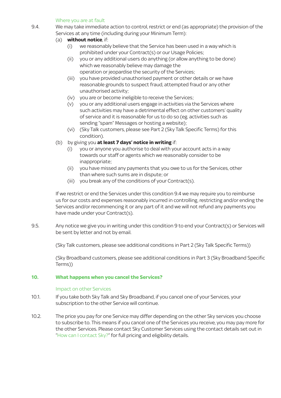#### Where you are at fault

- 9.4. We may take immediate action to control, restrict or end (as appropriate) the provision of the Services at any time (including during your Minimum Term):
	- (a) **without notice**, if:
		- (i) we reasonably believe that the Service has been used in a way which is prohibited under your Contract(s) or our Usage Policies;
		- (ii) you or any additional users do anything (or allow anything to be done) which we reasonably believe may damage the operation or jeopardise the security of the Services;
		- (iii) you have provided unauthorised payment or other details or we have reasonable grounds to suspect fraud, attempted fraud or any other unauthorised activity;
		- (iv) you are or become ineligible to receive the Services;
		- (v) you or any additional users engage in activities via the Services where such activities may have a detrimental effect on other customers' quality of service and it is reasonable for us to do so (eg. activities such as sending "spam" Messages or hosting a website);
		- (vi) (Sky Talk customers, please see Part 2 (Sky Talk Specific Terms) for this condition).
	- (b) by giving you **at least 7 days' notice in writing** if:
		- (i) you or anyone you authorise to deal with your account acts in a way towards our staff or agents which we reasonably consider to be inappropriate;
		- (ii) you have missed any payments that you owe to us for the Services, other than where such sums are in dispute; or
		- (iii) you break any of the conditions of your Contract(s).

If we restrict or end the Services under this condition 9.4 we may require you to reimburse us for our costs and expenses reasonably incurred in controlling, restricting and/or ending the Services and/or recommencing it or any part of it and we will not refund any payments you have made under your Contract(s).

9.5. Any notice we give you in writing under this condition 9 to end your Contract(s) or Services will be sent by letter and not by email.

(Sky Talk customers, please see additional conditions in Part 2 (Sky Talk Specific Terms))

(Sky Broadband customers, please see additional conditions in Part 3 (Sky Broadband Specific Terms))

#### **10. What happens when you cancel the Services?**

#### Impact on other Services

- 10.1. If you take both Sky Talk and Sky Broadband, if you cancel one of your Services, your subscription to the other Service will continue.
- 10.2. The price you pay for one Service may differ depending on the other Sky services you choose to subscribe to. This means if you cancel one of the Services you receive, you may pay more for the other Services. Please contact Sky Customer Services using the contact details set out in "How can I contact Sky?" for full pricing and eligibility details.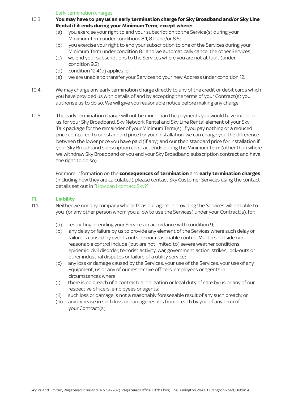Early termination charges

- 10.3. **You may have to pay us an early termination charge for Sky Broadband and/or Sky Line Rental if it ends during your Minimum Term, except where:**
	- (a) you exercise your right to end your subscription to the Service(s) during your Minimum Term under conditions 8.1, 8.2 and/or 8.5;
	- (b) you exercise your right to end your subscription to one of the Services during your Minimum Term under condition 8.1 and we automatically cancel the other Services;
	- (c) we end your subscriptions to the Services where you are not at fault (under condition 9.2);
	- (d) condition 12.4(b) applies; or
	- (e) we are unable to transfer your Services to your new Address under condition 12.
- 10.4. We may charge any early termination charge directly to any of the credit or debit cards which you have provided us with details of and by accepting the terms of your Contract(s) you authorise us to do so. We will give you reasonable notice before making any charge.
- 10.5. The early termination charge will not be more than the payments you would have made to us for your Sky Broadband, Sky Network Rental and Sky Line Rental element of your Sky Talk package for the remainder of your Minimum Term(s). If you pay nothing or a reduced price compared to our standard price for your installation, we can charge you the difference between the lower price you have paid (if any) and our then standard price for installation if your Sky Broadband subscription contract ends during the Minimum Term (other than where we withdraw Sky Broadband or you end your Sky Broadband subscription contract and have the right to do so).

For more information on the **consequences of termination** and **early termination charges** (including how they are calculated), please contact Sky Customer Services using the contact details set out in "How can I contact Sky?"

#### **11. Liability**

11.1. Neither we nor any company who acts as our agent in providing the Services will be liable to you (or any other person whom you allow to use the Services) under your Contract(s), for:

- (a) restricting or ending your Services in accordance with condition 9;
- (b) any delay or failure by us to provide any element of the Services where such delay or failure is caused by events outside our reasonable control. Matters outside our reasonable control include (but are not limited to) severe weather conditions, epidemic, civil disorder, terrorist activity, war, government action, strikes, lock-outs or other industrial disputes or failure of a utility service;
- (c) any loss or damage caused by the Services, your use of the Services, your use of any Equipment, us or any of our respective officers, employees or agents in circumstances where:
- (i) there is no breach of a contractual obligation or legal duty of care by us or any of our respective officers, employees or agents;
- (ii) such loss or damage is not a reasonably foreseeable result of any such breach; or
- (iii) any increase in such loss or damage results from breach by you of any term of your Contract(s).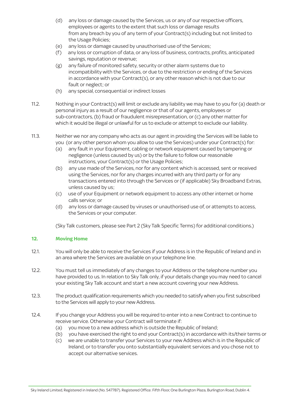- (d) any loss or damage caused by the Services, us or any of our respective officers, employees or agents to the extent that such loss or damage results from any breach by you of any term of your Contract(s) including but not limited to the Usage Policies;
- (e) any loss or damage caused by unauthorised use of the Services;
- (f) any loss or corruption of data, or any loss of business, contracts, profits, anticipated savings, reputation or revenue;
- (g) any failure of monitored safety, security or other alarm systems due to incompatibility with the Services, or due to the restriction or ending of the Services in accordance with your Contract(s), or any other reason which is not due to our fault or neglect; or
- (h) any special, consequential or indirect losses
- 11.2. Nothing in your Contract(s) will limit or exclude any liability we may have to you for (a) death or personal injury as a result of our negligence or that of our agents, employees or sub-contractors, (b) fraud or fraudulent misrepresentation, or (c) any other matter for which it would be illegal or unlawful for us to exclude or attempt to exclude our liability.
- 11.3. Neither we nor any company who acts as our agent in providing the Services will be liable to you (or any other person whom you allow to use the Services) under your Contract(s) for:
	- (a) any fault in your Equipment, cabling or network equipment caused by tampering or negligence (unless caused by us) or by the failure to follow our reasonable instructions, your Contract(s) or the Usage Policies;
	- (b) any use made of the Services, nor for any content which is accessed, sent or received using the Services, nor for any charges incurred with any third party or for any transactions entered into through the Services or (if applicable) Sky Broadband Extras, unless caused by us;
	- (c) use of your Equipment or network equipment to access any other internet or home calls service; or
	- (d) any loss or damage caused by viruses or unauthorised use of, or attempts to access, the Services or your computer.

(Sky Talk customers, please see Part 2 (Sky Talk Specific Terms) for additional conditions.)

### **12. Moving Home**

- 12.1. You will only be able to receive the Services if your Address is in the Republic of Ireland and in an area where the Services are available on your telephone line.
- 12.2. You must tell us immediately of any changes to your Address or the telephone number you have provided to us. In relation to Sky Talk only, if your details change you may need to cancel your existing Sky Talk account and start a new account covering your new Address.
- 12.3. The product qualification requirements which you needed to satisfy when you first subscribed to the Services will apply to your new Address.
- 12.4. If you change your Address you will be required to enter into a new Contract to continue to receive service. Otherwise your Contract will terminate if:
	- (a) you move to a new address which is outside the Republic of Ireland;
	- (b) you have exercised the right to end your Contract(s) in accordance with its/their terms or
	- (c) we are unable to transfer your Services to your new Address which is in the Republic of Ireland, or to transfer you onto substantially equivalent services and you chose not to accept our alternative services.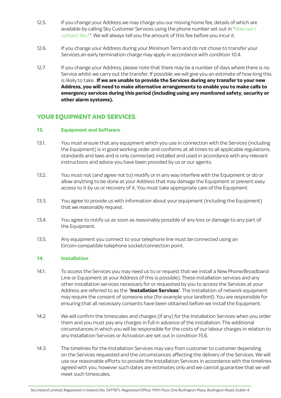- 12.5. If you change your Address we may charge you our moving home fee, details of which are available by calling Sky Customer Services using the phone number set out in "How can I contact Sky?". We will always tell you the amount of this fee before you incur it.
- 12.6. If you change your Address during your Minimum Term and do not chose to transfer your Services an early termination charge may apply in accordance with condition 10.4.
- 12.7. If you change your Address, please note that there may be a number of days where there is no Service whilst we carry out the transfer. If possible, we will give you an estimate of how long this is likely to take. **If we are unable to provide the Services during any transfer to your new Address, you will need to make alternative arrangements to enable you to make calls to emergency services during this period (including using any monitored safety, security or other alarm systems).**

## **YOUR EQUIPMENT AND SERVICES**

#### **13. Equipment and Software**

- 13.1. You must ensure that any equipment which you use in connection with the Services (including the Equipment) is in good working order and conforms at all times to all applicable regulations, standards and laws and is only connected, installed and used in accordance with any relevant instructions and advice you have been provided by us or our agents.
- 13.2. You must not (and agree not to) modify or in any way interfere with the Equipment or do or allow anything to be done at your Address that may damage the Equipment or prevent easy access to it by us or recovery of it. You must take appropriate care of the Equipment.
- 13.3. You agree to provide us with information about your equipment (including the Equipment) that we reasonably request.
- 13.4. You agree to notify us as soon as reasonably possible of any loss or damage to any part of the Equipment.
- 13.5. Any equipment you connect to your telephone line must be connected using an Eircom-compatible telephone socket/connection point.

#### **14. Installation**

- 14.1. To access the Services you may need us to or request that we install a New Phone/Broadband Line or Equipment at your Address (if this is possible). These installation services and any other installation services necessary for or requested by you to access the Services at your Address are referred to as the "**Installation Services**". The installation of network equipment may require the consent of someone else (for example your landlord). You are responsible for ensuring that all necessary consents have been obtained before we install the Equipment.
- 14.2. We will confirm the timescales and charges (if any) for the Installation Services when you order them and you must pay any charges in full in advance of the installation. The additional circumstances in which you will be responsible for the costs of our labour charges in relation to any Installation Services or Activation are set out in condition 15.6.
- 14.3. The timelines for the Installation Services may vary from customer to customer depending on the Services requested and the circumstances affecting the delivery of the Services. We will use our reasonable efforts to provide the Installation Services in accordance with the timelines agreed with you, however such dates are estimates only and we cannot guarantee that we will meet such timescales.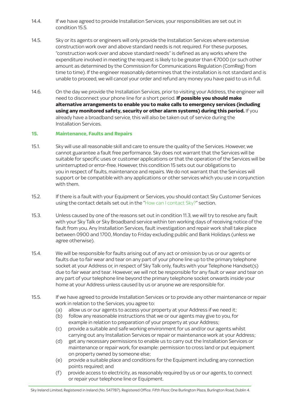- 14.4. If we have agreed to provide Installation Services, your responsibilities are set out in condition 15.5.
- 14.5. Sky or its agents or engineers will only provide the Installation Services where extensive construction work over and above standard needs is not required. For these purposes, "construction work over and above standard needs" is defined as any works where the expenditure involved in meeting the request is likely to be greater than €7000 (or such other amount as determined by the Commission for Communications Regulation (ComReg) from time to time). If the engineer reasonably determines that the installation is not standard and is unable to proceed, we will cancel your order and refund any money you have paid to us in full.
- 14.6. On the day we provide the Installation Services, prior to visiting your Address, the engineer will need to disconnect your phone line for a short period. **If possible you should make alternative arrangements to enable you to make calls to emergency services (including using any monitored safety, security or other alarm systems) during this period.** If you already have a broadband service, this will also be taken out of service during the Installation Services.

#### **15. Maintenance, Faults and Repairs**

- 15.1. Sky will use all reasonable skill and care to ensure the quality of the Services. However, we cannot guarantee a fault free performance. Sky does not warrant that the Services will be suitable for specific uses or customer applications or that the operation of the Services will be uninterrupted or error-free. However, this condition 15 sets out our obligations to you in respect of faults, maintenance and repairs. We do not warrant that the Services will support or be compatible with any applications or other services which you use in conjunction with them.
- 15.2. If there is a fault with your Equipment or Services, you should contact Sky Customer Services using the contact details set out in the "How can I contact Sky?" section.
- 15.3. Unless caused by one of the reasons set out in condition 11.3, we will try to resolve any fault with your Sky Talk or Sky Broadband service within ten working days of receiving notice of the fault from you. Any Installation Services, fault investigation and repair work shall take place between 0900 and 1700, Monday to Friday excluding public and Bank Holidays (unless we agree otherwise).
- 15.4. We will be responsible for faults arising out of any act or omission by us or our agents or faults due to fair wear and tear on any part of your phone line up to the primary telephone socket at your Address or, in respect of Sky Talk only, faults with your Telephone Handset(s) due to fair wear and tear. However, we will not be responsible for any fault or wear and tear on any part of your telephone line beyond the primary telephone socket onwards inside your home at your Address unless caused by us or anyone we are responsible for.
- 15.5. If we have agreed to provide Installation Services or to provide any other maintenance or repair work in relation to the Services, you agree to:
	- (a) allow us or our agents to access your property at your Address if we need it;
	- (b) follow any reasonable instructions that we or our agents may give to you, for example in relation to preparation of your property at your Address;
	- (c) provide a suitable and safe working environment for us and/or our agents whilst carrying out any Installation Services or repair or maintenance work at your Address;
	- (d) get any necessary permissions to enable us to carry out the Installation Services or maintenance or repair work, for example: permission to cross land or put equipment on property owned by someone else;
	- (e) provide a suitable place and conditions for the Equipment including any connection points required; and
	- 1 or repair your telephone line or Equipment.(f) provide access to electricity, as reasonably required by us or our agents, to connect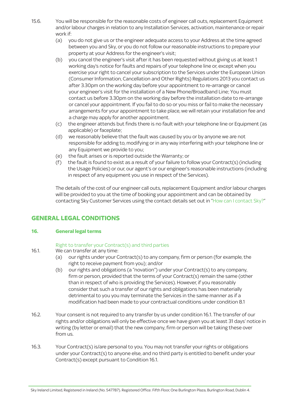- 15.6. You will be responsible for the reasonable costs of engineer call outs, replacement Equipment and/or labour charges in relation to any Installation Services, activation, maintenance or repair work if:
	- (a) you do not give us or the engineer adequate access to your Address at the time agreed between you and Sky, or you do not follow our reasonable instructions to prepare your property at your Address for the engineer's visit;
	- (b) you cancel the engineer's visit after it has been requested without giving us at least 1 working day's notice for faults and repairs of your telephone line or, except when you exercise your right to cancel your subscription to the Services under the European Union (Consumer Information, Cancellation and Other Rights) Regulations 2013 you contact us after 3.30pm on the working day before your appointment to re-arrange or cancel your engineer's visit for the installation of a New Phone/Broadband Line; You must contact us before 3.30pm on the working day before the installation date to re-arrange or cancel your appointment. If you fail to do so or you miss or fail to make the necessary arrangements for your appointment to take place, we will retain your installation fee and a charge may apply for another appointment.
	- (c) the engineer attends but finds there is no fault with your telephone line or Equipment (as applicable) or faceplate;
	- (d) we reasonably believe that the fault was caused by you or by anyone we are not responsible for adding to, modifying or in any way interfering with your telephone line or any Equipment we provide to you;
	- (e) the fault arises or is reported outside the Warranty; or
	- (f) the fault is found to exist as a result of your failure to follow your Contract(s) (including the Usage Policies) or our, our agent's or our engineer's reasonable instructions (including in respect of any equipment you use in respect of the Services).

The details of the cost of our engineer call outs, replacement Equipment and/or labour charges will be provided to you at the time of booking your appointment and can be obtained by contacting Sky Customer Services using the contact details set out in "How can I contact Sky?"

# **GENERAL LEGAL CONDITIONS**

### **16. General legal terms**

### Right to transfer your Contract(s) and third parties

- 16.1. We can transfer at any time:
	- (a) our rights under your Contract(s) to any company, firm or person (for example, the right to receive payment from you); and/or
	- (b) our rights and obligations (a "novation") under your Contract(s) to any company, firm or person, provided that the terms of your Contract(s) remain the same (other than in respect of who is providing the Services). However, if you reasonably consider that such a transfer of our rights and obligations has been materially detrimental to you you may terminate the Services in the same manner as if a modification had been made to your contractual conditions under condition 8.1
- 16.2. Your consent is not required to any transfer by us under condition 16.1. The transfer of our rights and/or obligations will only be effective once we have given you at least 31 days' notice in writing (by letter or email) that the new company, firm or person will be taking these over from us.
- 16.3. Your Contract(s) is/are personal to you. You may not transfer your rights or obligations under your Contract(s) to anyone else, and no third party is entitled to benefit under your Contract(s) except pursuant to Condition 16.1.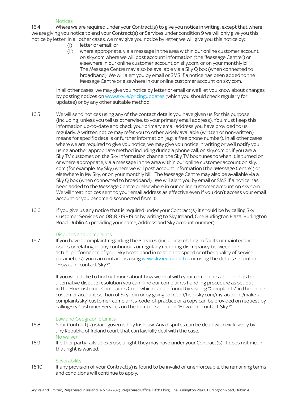#### **Notices**

16.4 Where we are required under your Contract(s) to give you notice in writing, except that where we are giving you notice to end your Contract(s) or Services under condition 9 we will only give you this notice by letter. In all other cases, we may give you notice by letter, we will give you this notice by:

- (i) letter or email; or
- (ii) where appropriate, via a message in the area within our online customer account on sky.com where we will post account information (the "Message Centre") or elsewhere in our online customer account on sky.com, or on your monthly bill. The Message Centre may also be available via a Sky Q box (when connected to broadband). We will alert you by email or SMS if a notice has been added to the Message Centre or elsewhere in our online customer account on sky.com.

In all other cases, we may give you notice by letter or email or we'll let you know about changes by posting notices on www.sky.ie/pricingupdates (which you should check regularly for updates) or by any other suitable method.

- 16.5 We will send notices using any of the contact details you have given us for this purpose (including, unless you tell us otherwise, to your primary email address). You must keep this information up-to-date and check your primary email address you have provided to us regularly. A written notice may refer you to other widely available (written or non-written) means for specific details or further information (e.g. a free phone number). In all other cases where we are required to give you notice, we may give you notice in writing or we'll notify you using another appropriate method including during a phone call, on sky.com or, if you are a Sky TV customer, on the Sky information channel the Sky TV box tunes to when it is turned on, or where appropriate, via a message in the area within our online customer account on sky. com (for example, My Sky) where we will post account information (the "Message Centre") or elsewhere in My Sky, or on your monthly bill. The Message Centre may also be available via a Sky Q box (when connected to broadband). We will alert you by email or SMS if a notice has been added to the Message Centre or elsewhere in our online customer account on sky.com. We will treat notices sent to your email address as effective even if you don't access your email account or you become disconnected from it.
- 16.6 If you give us any notice that is required under your Contract(s) it should be by calling Sky Customer Services on 0818 719819 or by writing to Sky Ireland, One Burlington Plaza, Burlington Road, Dublin 4 (providing your name, Address and Sky account number).

#### Disputes and Complaints

16.7. If you have a complaint regarding the Services (including relating to faults or maintenance issues or relating to any continuous or regularly recurring discrepancy between the actual performance of your Sky broadband in relation to speed or other quality of service parameters), you can contact us using www.sky.ie/contactus or using the details set out in "How can I contact Sky?"

> If you would like to find out more about how we deal with your complaints and options for alternative dispute resolution you can find our complaints handling procedure as set out in the Sky Customer Complaints Code which can be found by visiting "Complaints" in the online customer account section of Sky.com or by going to http://help.sky.com/my-account/make-acomplaint/sky-customer-complaints-code-of-practice or a copy can be provided on request by callingSky Customer Services on the number set out in "How can I contact Sky?"

#### Law and Geographic Limits

- 16.8. Your Contract(s) is/are governed by Irish law. Any disputes can be dealt with exclusively by any Republic of Ireland court that can lawfully deal with the case. No waiver
- 16.9. If either party fails to exercise a right they may have under your Contract(s), it does not mean that right is waived.

#### **Severability**

16.10. If any provision of your Contract(s) is found to be invalid or unenforceable, the remaining terms and conditions will continue to apply.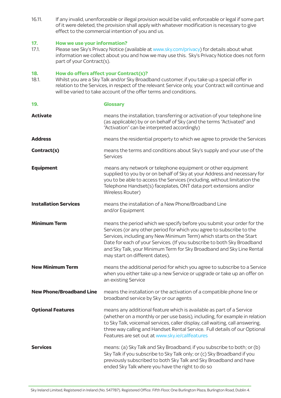16.11. If any invalid, unenforceable or illegal provision would be valid, enforceable or legal if some part of it were deleted, the provision shall apply with whatever modification is necessary to give effect to the commercial intention of you and us.

# **17. How we use your information?**<br>17.1. Please see Sky's Privacy Notice (a

Please see Sky's Privacy Notice (available at www.sky.com/privacy) for details about what information we collect about you and how we may use this. Sky's Privacy Notice does not form part of your Contract(s).

#### **18. How do offers affect your Contract(s)?**

18.1. Whilst you are a Sky Talk and/or Sky Broadband customer, if you take up a special offer in relation to the Services, in respect of the relevant Service only, your Contract will continue and will be varied to take account of the offer terms and conditions.

| 19.                             | <b>Glossary</b>                                                                                                                                                                                                                                                                                                                                                                                              |
|---------------------------------|--------------------------------------------------------------------------------------------------------------------------------------------------------------------------------------------------------------------------------------------------------------------------------------------------------------------------------------------------------------------------------------------------------------|
| <b>Activate</b>                 | means the installation, transferring or activation of your telephone line<br>(as applicable) by or on behalf of Sky (and the terms "Activated" and<br>"Activation" can be interpreted accordingly)                                                                                                                                                                                                           |
| <b>Address</b>                  | means the residential property to which we agree to provide the Services                                                                                                                                                                                                                                                                                                                                     |
| Contract(s)                     | means the terms and conditions about Sky's supply and your use of the<br>Services                                                                                                                                                                                                                                                                                                                            |
| <b>Equipment</b>                | means any network or telephone equipment or other equipment<br>supplied to you by or on behalf of Sky at your Address and necessary for<br>you to be able to access the Services (including, without limitation the<br>Telephone Handset(s) faceplates, ONT data port extensions and/or<br>Wireless Router)                                                                                                  |
| <b>Installation Services</b>    | means the installation of a New Phone/Broadband Line<br>and/or Equipment                                                                                                                                                                                                                                                                                                                                     |
| <b>Minimum Term</b>             | means the period which we specify before you submit your order for the<br>Services (or any other period for which you agree to subscribe to the<br>Services, including any New Minimum Term) which starts on the Start<br>Date for each of your Services. (If you subscribe to both Sky Broadband<br>and Sky Talk, your Minimum Term for Sky Broadband and Sky Line Rental<br>may start on different dates). |
| <b>New Minimum Term</b>         | means the additional period for which you agree to subscribe to a Service<br>when you either take up a new Service or upgrade or take up an offer on<br>an existing Service                                                                                                                                                                                                                                  |
| <b>New Phone/Broadband Line</b> | means the installation or the activation of a compatible phone line or<br>broadband service by Sky or our agents                                                                                                                                                                                                                                                                                             |
| <b>Optional Features</b>        | means any additional feature which is available as part of a Service<br>(whether on a monthly or per use basis), including, for example in relation<br>to Sky Talk, voicemail services, caller display, call waiting, call answering,<br>three way calling and Handset Rental Service. Full details of our Optional<br>Features are set out at www.sky.ie/callfeatures                                       |
| <b>Services</b>                 | means: (a) Sky Talk and Sky Broadband, if you subscribe to both; or (b)<br>Sky Talk if you subscribe to Sky Talk only; or (c) Sky Broadband if you<br>previously subscribed to both Sky Talk and Sky Broadband and have<br>ended Sky Talk where you have the right to do so                                                                                                                                  |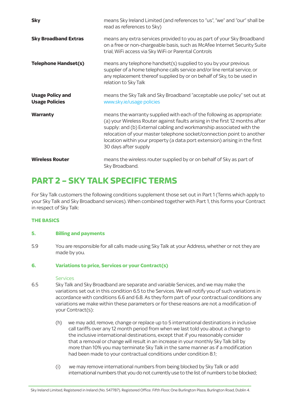| <b>Sky</b>                                       | means Sky Ireland Limited (and references to "us", "we" and "our" shall be<br>read as references to Sky)                                                                                                                                                                                                                                                                                                       |
|--------------------------------------------------|----------------------------------------------------------------------------------------------------------------------------------------------------------------------------------------------------------------------------------------------------------------------------------------------------------------------------------------------------------------------------------------------------------------|
| <b>Sky Broadband Extras</b>                      | means any extra services provided to you as part of your Sky Broadband<br>on a free or non-chargeable basis, such as McAfee Internet Security Suite<br>trial, WiFi access via Sky WiFi or Parental Controls                                                                                                                                                                                                    |
| <b>Telephone Handset(s)</b>                      | means any telephone handset(s) supplied to you by your previous<br>supplier of a home telephone calls service and/or line rental service, or<br>any replacement thereof supplied by or on behalf of Sky, to be used in<br>relation to Sky Talk                                                                                                                                                                 |
| <b>Usage Policy and</b><br><b>Usage Policies</b> | means the Sky Talk and Sky Broadband "acceptable use policy" set out at<br>www.sky.ie/usage policies                                                                                                                                                                                                                                                                                                           |
| Warranty                                         | means the warranty supplied with each of the following as appropriate:<br>(a) your Wireless Router against faults arising in the first 12 months after<br>supply: and (b) External cabling and workmanship associated with the<br>relocation of your master telephone socket/connection point to another<br>location within your property (a data port extension) arising in the first<br>30 days after supply |
| <b>Wireless Router</b>                           | means the wireless router supplied by or on behalf of Sky as part of<br>Sky Broadband.                                                                                                                                                                                                                                                                                                                         |

# **PART 2 – SKY TALK SPECIFIC TERMS**

For Sky Talk customers the following conditions supplement those set out in Part 1 (Terms which apply to your Sky Talk and Sky Broadband services). When combined together with Part 1, this forms your Contract in respect of Sky Talk:

### **THE BASICS**

#### **5. Billing and payments**

5.9 You are responsible for all calls made using Sky Talk at your Address, whether or not they are made by you.

#### **6. Variations to price, Services or your Contract(s)**

#### **Services**

- 6.5 Sky Talk and Sky Broadband are separate and variable Services, and we may make the variations set out in this condition 6.5 to the Services. We will notify you of such variations in accordance with conditions 6.6 and 6.8. As they form part of your contractual conditions any variations we make within these parameters or for these reasons are not a modification of your Contract(s):
	- (h) we may add, remove, change or replace up to 5 international destinations in inclusive call tariffs over any 12 month period from when we last told you about a change to the inclusive international destinations, except that if you reasonably consider that a removal or change will result in an increase in your monthly Sky Talk bill by more than 10% you may terminate Sky Talk in the same manner as if a modification had been made to your contractual conditions under condition 8.1;
	- (i) we may remove international numbers from being blocked by Sky Talk or add international numbers that you do not currently use to the list of numbers to be blocked;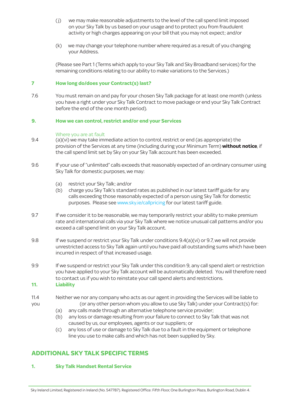- ( j) we may make reasonable adjustments to the level of the call spend limit imposed on your Sky Talk by us based on your usage and to protect you from fraudulent activity or high charges appearing on your bill that you may not expect; and/or
- (k) we may change your telephone number where required as a result of you changing your Address.

(Please see Part 1 (Terms which apply to your Sky Talk and Sky Broadband services) for the remaining conditions relating to our ability to make variations to the Services.)

#### **7 How long do/does your Contract(s) last?**

7.6 You must remain on and pay for your chosen Sky Talk package for at least one month (unless you have a right under your Sky Talk Contract to move package or end your Sky Talk Contract before the end of the one month period).

#### **9. How we can control, restrict and/or end your Services**

#### Where you are at fault

- 9.4 (a)(vi) we may take immediate action to control, restrict or end (as appropriate) the provision of the Services at any time (including during your Minimum Term) **without notice**, if the call spend limit set by Sky on your Sky Talk account has been exceeded.
- 9.6 If your use of "unlimited" calls exceeds that reasonably expected of an ordinary consumer using Sky Talk for domestic purposes, we may:
	- (a) restrict your Sky Talk; and/or
	- (b) charge you Sky Talk's standard rates as published in our latest tariff guide for any calls exceeding those reasonably expected of a person using Sky Talk for domestic purposes. Please see www.sky.ie/callpricing for our latest tariff guide.
- 9.7 If we consider it to be reasonable, we may temporarily restrict your ability to make premium rate and international calls via your Sky Talk where we notice unusual call patterns and/or you exceed a call spend limit on your Sky Talk account.
- 9.8 If we suspend or restrict your Sky Talk under conditions 9.4(a)(vi) or 9.7, we will not provide unrestricted access to Sky Talk again until you have paid all outstanding sums which have been incurred in respect of that increased usage.
- 9.9 If we suspend or restrict your Sky Talk under this condition 9, any call spend alert or restriction you have applied to your Sky Talk account will be automatically deleted. You will therefore need to contact us if you wish to reinstate your call spend alerts and restrictions.

#### **11. Liability**

- 11.4 Neither we nor any company who acts as our agent in providing the Services will be liable to you (or any other person whom you allow to use Sky Talk) under your Contract(s) for:
	- (a) any calls made through an alternative telephone service provider;
	- (b) any loss or damage resulting from your failure to connect to Sky Talk that was not caused by us, our employees, agents or our suppliers; or
	- (c) any loss of use or damage to Sky Talk due to a fault in the equipment or telephone line you use to make calls and which has not been supplied by Sky.

# **ADDITIONAL SKY TALK SPECIFIC TERMS**

#### **1. Sky Talk Handset Rental Service**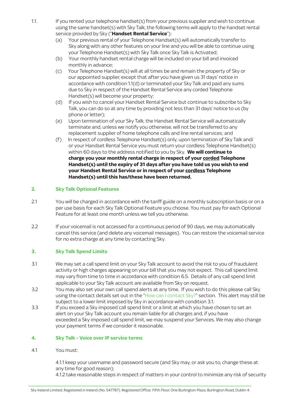- 1.1. If you rented your telephone handset(s) from your previous supplier and wish to continue using the same handset(s) with Sky Talk, the following terms will apply to the handset rental service provided by Sky ("**Handset Rental Service**"):
	- (a) Your previous rental of your Telephone Handset(s) will automatically transfer to Sky along with any other features on your line and you will be able to continue using your Telephone Handset(s) with Sky Talk once Sky Talk is Activated;
	- (b) Your monthly handset rental charge will be included on your bill and invoiced monthly in advance;
	- (c) Your Telephone Handset(s) will at all times be and remain the property of Sky or our appointed supplier, except that after you have given us 31 days' notice in accordance with condition 1.1(d) or terminated your Sky Talk and paid any sums due to Sky in respect of the Handset Rental Service any corded Telephone Handset(s) will become your property;
	- (d) If you wish to cancel your Handset Rental Service but continue to subscribe to Sky Talk, you can do so at any time by providing not less than 31 days' notice to us (by phone or letter);
	- (e) Upon termination of your Sky Talk, the Handset Rental Service will automatically terminate and, unless we notify you otherwise, will not be transferred to any replacement supplier of home telephone calls and line rental services; and
	- (f) In respect of cordless Telephone Handset(s) only, upon termination of Sky Talk and/ or your Handset Rental Service you must return your cordless Telephone Handset(s) within 60 days to the address notified to you by Sky. **We will continue to charge you your monthly rental charge in respect of your corded Telephone Handset(s) until the expiry of 31 days after you have told us you wish to end your Handset Rental Service or in respect of your cordless Telephone Handset(s) until this has/these have been returned.**

### **2. Sky Talk Optional Features**

- 2.1 You will be charged in accordance with the tariff guide on a monthly subscription basis or on a per use basis for each Sky Talk Optional Feature you choose. You must pay for each Optional Feature for at least one month unless we tell you otherwise.
- 2.2 If your voicemail is not accessed for a continuous period of 90 days, we may automatically cancel this service (and delete any voicemail messages). You can restore the voicemail service for no extra charge at any time by contacting Sky.

#### **3. Sky Talk Spend Limits**

- 3.1 We may set a call spend limit on your Sky Talk account to avoid the risk to you of fraudulent activity or high charges appearing on your bill that you may not expect. This call spend limit may vary from time to time in accordance with condition 6.5. Details of any call spend limit applicable to your Sky Talk account are available from Sky on request.
- 3.2 You may also set your own call spend alerts at any time. If you wish to do this please call Sky using the contact details set out in the "How can I contact Sky?" section. This alert may still be subject to a lower limit imposed by Sky in accordance with condition 3.1.
- 3.3 If you exceed a Sky imposed call spend limit or a limit at which you have chosen to set an alert on your Sky Talk account you remain liable for all charges and, if you have exceeded a Sky imposed call spend limit, we may suspend your Services. We may also change your payment terms if we consider it reasonable.

#### **4. Sky Talk - Voice over IP service terms**

4.1 You must:

 4.1.1 keep your username and password secure (and Sky may, or ask you to, change these at any time for good reason);

4.1.2 take reasonable steps in respect of matters in your control to minimize any risk of security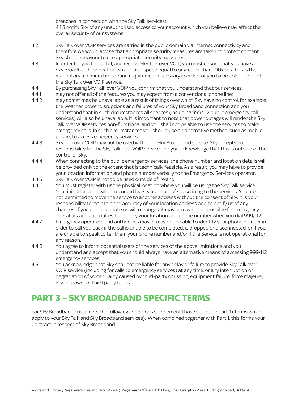breaches in connection with the Sky Talk services; 4.1.3 notify Sky of any unauthorised access to your account which you believe may affect the overall security of our systems.

- 4.2 Sky Talk over VOIP services are carried in the public domain via internet connectivity and therefore we would advise that appropriate security measures are taken to protect content. Sky shall endeavour to use appropriate security measures.
- 4.3 In order for you to avail of, and receive Sky Talk over VOIP, you must ensure that you have a Sky Broadband connection which has a speed equal to or greater than 100kbps. This is the mandatory minimum broadband requirement necessary in order for you to be able to avail of the Sky Talk over VOIP service.
- 4.4 By purchasing Sky Talk over VOIP you confirm that you understand that our services:
- 4.4.1 may not offer all of the features you may expect from a conventional phone line;<br>4.4.2 may sometimes be unavailable as a result of things over which Sky have no contr
- may sometimes be unavailable as a result of things over which Sky have no control, for example, the weather, power disruptions and failures of your Sky Broadband connection and you understand that in such circumstances all services (including 999/112 public emergency call services) will also be unavailable. It is important to note that power outages will render the Sky Talk over VOIP services non-functional and you shall not be able to use the services to make emergency calls. In such circumstances you should use an alternative method, such as mobile phone, to access emergency services.
- 4.4.3 Sky Talk over VOIP may not be used without a Sky Broadband service. Sky accepts no responsibility for the Sky Talk over VOIP service and you acknowledge that this is outside of the control of Sky.
- 4.4.4 When connecting to the public emergency services, the phone number and location details will be provided only to the extent that is technically feasible. As a result, you may have to provide your location information and phone number verbally to the Emergency Services operator.
- 4.4.5 Sky Talk over VOIP is not to be used outside of Ireland.
- 4.4.6 You must register with us the physical location where you will be using the Sky Talk service. Your initial location will be recorded by Sky as a part of subscribing to the services. You are not permitted to move the service to another address without the consent of Sky. It is your responsibility to maintain the accuracy of your location address and to notify us of any changes. If you do not update us with changes, it may or may not be possible for emergency operators and authorities to identify your location and phone number when you dial 999/112.
- 4.4.7 Emergency operators and authorities may or may not be able to identify your phone number in order to call you back if the call is unable to be completed, is dropped or disconnected, or if you are unable to speak to tell them your phone number and/or if the Service is not operational for any reason.
- 4.4.8 You agree to inform potential users of the services of the above limitations and you understand and accept that you should always have an alternative means of accessing 999/112 emergency services.
- 4.5 You acknowledge that Sky shall not be liable for any delay or failure to provide Sky Talk over VOIP service (including for calls to emergency services) at any time, or any interruption or degradation of voice quality caused by third-party omission, equipment failure, force majeure, loss of power or third party faults.

# **PART 3 – SKY BROADBAND SPECIFIC TERMS**

For Sky Broadband customers the following conditions supplement those set out in Part 1 (Terms which apply to your Sky Talk and Sky Broadband services). When combined together with Part 1, this forms your Contract in respect of Sky Broadband: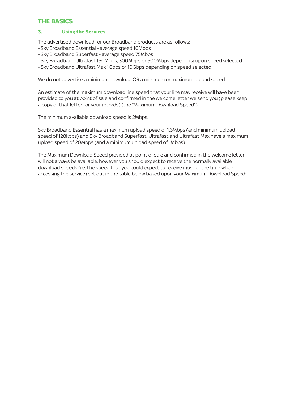# **THE BASICS**

### **3. Using the Services**

The advertised download for our Broadband products are as follows:

- Sky Broadband Essential average speed 10Mbps
- Sky Broadband Superfast average speed 75Mbps
- Sky Broadband Ultrafast 150Mbps, 300Mbps or 500Mbps depending upon speed selected
- Sky Broadband Ultrafast Max 1Gbps or 10Gbps depending on speed selected

We do not advertise a minimum download OR a minimum or maximum upload speed

An estimate of the maximum download line speed that your line may receive will have been provided to you at point of sale and confirmed in the welcome letter we send you (please keep a copy of that letter for your records) (the "Maximum Download Speed").

The minimum available download speed is 2Mbps.

Sky Broadband Essential has a maximum upload speed of 1.3Mbps (and minimum upload speed of 128kbps) and Sky Broadband Superfast, Ultrafast and Ultrafast Max have a maximum upload speed of 20Mbps (and a minimum upload speed of 1Mbps).

The Maximum Download Speed provided at point of sale and confirmed in the welcome letter will not always be available, however you should expect to receive the normally available download speeds (i.e. the speed that you could expect to receive most of the time when accessing the service) set out in the table below based upon your Maximum Download Speed: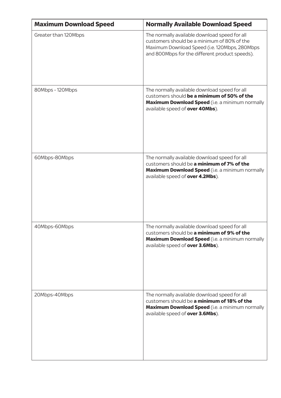| <b>Maximum Download Speed</b> | <b>Normally Available Download Speed</b>                                                                                                                                                        |
|-------------------------------|-------------------------------------------------------------------------------------------------------------------------------------------------------------------------------------------------|
| Greater than 120Mbps          | The normally available download speed for all<br>customers should be a minimum of 80% of the<br>Maximum Download Speed (i.e. 120Mbps, 280Mbps<br>and 800Mbps for the different product speeds). |
| 80Mbps - 120Mbps              | The normally available download speed for all<br>customers should be a minimum of 50% of the<br>Maximum Download Speed (i.e. a minimum normally<br>available speed of over 40Mbs).              |
| 60Mbps-80Mbps                 | The normally available download speed for all<br>customers should be a minimum of 7% of the<br>Maximum Download Speed (i.e. a minimum normally<br>available speed of over 4.2Mbs).              |
| 40Mbps-60Mbps                 | The normally available download speed for all<br>customers should be a minimum of 9% of the<br>Maximum Download Speed (i.e. a minimum normally<br>available speed of over 3.6Mbs).              |
| 20Mbps-40Mbps                 | The normally available download speed for all<br>customers should be a minimum of 18% of the<br>Maximum Download Speed (i.e. a minimum normally<br>available speed of <b>over 3.6Mbs</b> ).     |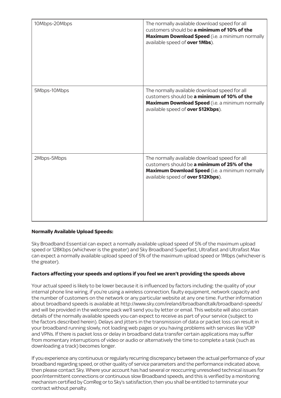| 10Mbps-20Mbps | The normally available download speed for all<br>customers should be a minimum of 10% of the<br>Maximum Download Speed (i.e. a minimum normally<br>available speed of over 1Mbs).           |
|---------------|---------------------------------------------------------------------------------------------------------------------------------------------------------------------------------------------|
| 5Mbps-10Mbps  | The normally available download speed for all<br>customers should be a minimum of 10% of the<br><b>Maximum Download Speed</b> (i.e. a minimum normally<br>available speed of over 512Kbps). |
| 2Mbps-5Mbps   | The normally available download speed for all<br>customers should be a minimum of 25% of the<br>Maximum Download Speed (i.e. a minimum normally<br>available speed of over 512Kbps).        |

#### **Normally Available Upload Speeds:**

Sky Broadband Essential can expect a normally available upload speed of 5% of the maximum upload speed or 128Kbps (whichever is the greater) and Sky Broadband Superfast, Ultrafast and Ultrafast Max can expect a normally available upload speed of 5% of the maximum upload speed or 1Mbps (whichever is the greater).

### **Factors affecting your speeds and options if you feel we aren't providing the speeds above**

Your actual speed is likely to be lower because it is influenced by factors including: the quality of your internal phone line wiring, if you're using a wireless connection, faulty equipment, network capacity and the number of customers on the network or any particular website at any one time. Further information about broadband speeds is available at http://www.sky.com/ireland/broadbandtalk/broadband-speeds/ and will be provided in the welcome pack we'll send you by letter or email. This website will also contain details of the normally available speeds you can expect to receive as part of your service (subject to the factors described herein). Delays and jitters in the transmission of data or packet loss can result in your broadband running slowly, not loading web pages or you having problems with services like VOIP and VPNs. If there is packet loss or delay in broadband data transfer certain applications may suffer from momentary interruptions of video or audio or alternatively the time to complete a task (such as downloading a track) becomes longer.

If you experience any continuous or regularly recurring discrepancy between the actual performance of your broadband regarding speed, or other quality of service parameters and the performance indicated above, then please contact Sky. Where your account has had several or reoccurring unresolved technical issues for poor/intermittent connections or continuous slow Broadband speeds, and this is verified by a monitoring mechanism certified by ComReg or to Sky's satisfaction, then you shall be entitled to terminate your contract without penalty.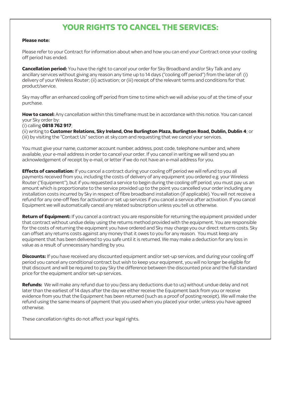# **YOUR RIGHTS TO CANCEL THE SERVICES:**

#### **Please note:**

Please refer to your Contract for information about when and how you can end your Contract once your cooling off period has ended.

**Cancellation period:** You have the right to cancel your order for Sky Broadband and/or Sky Talk and any ancillary services without giving any reason any time up to 14 days ("cooling off period") from the later of: (i) delivery of your Wireless Router; (ii) activation; or (iii) receipt of the relevant terms and conditions for that product/service.

Sky may offer an enhanced cooling off period from time to time which we will advise you of at the time of your purchase.

**How to cancel:** Any cancellation within this timeframe must be in accordance with this notice. You can cancel your Sky order by:

(i) calling **0818 762 917**;

(ii) writing to **Customer Relations, Sky Ireland, One Burlington Plaza, Burlington Road, Dublin, Dublin 4**; or (iii) by visiting the "Contact Us" section at sky.com and requesting that we cancel your services.

You must give your name, customer account number, address, post code, telephone number and, where available, your e-mail address in order to cancel your order. If you cancel in writing we will send you an acknowledgement of receipt by e-mail, or letter if we do not have an e-mail address for you.

**Effects of cancellation:** If you cancel a contract during your cooling off period we will refund to you all payments received from you, including the costs of delivery of any equipment you ordered e.g. your Wireless Router ("Equipment"), but if you requested a service to begin during the cooling off period, you must pay us an amount which is proportionate to the service provided up to the point you cancelled your order including any installation costs incurred by Sky in respect of fibre broadband installation (if applicable). You will not receive a refund for any one-off fees for activation or set up services if you cancel a service after activation. If you cancel Equipment we will automatically cancel any related subscription unless you tell us otherwise.

**Return of Equipment:** If you cancel a contract you are responsible for returning the equipment provided under that contract without undue delay using the returns method provided with the equipment. You are responsible for the costs of returning the equipment you have ordered and Sky may charge you our direct returns costs. Sky can offset any returns costs against any money that it owes to you for any reason. You must keep any equipment that has been delivered to you safe until it is returned. We may make a deduction for any loss in value as a result of unnecessary handling by you.

**Discounts:** If you have received any discounted equipment and/or set-up services, and during your cooling off period you cancel any conditional contract but wish to keep your equipment, you will no longer be eligible for that discount and will be required to pay Sky the difference between the discounted price and the full standard price for the equipment and/or set-up services.

**Refunds:** We will make any refund due to you (less any deductions due to us) without undue delay and not later than the earliest of 14 days after the day we either receive the Equipment back from you or receive evidence from you that the Equipment has been returned (such as a proof of posting receipt). We will make the refund using the same means of payment that you used when you placed your order, unless you have agreed otherwise.

These cancellation rights do not affect your legal rights.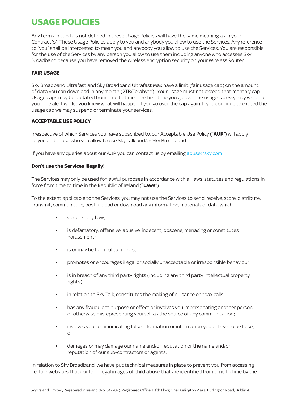# **USAGE POLICIES**

Any terms in capitals not defined in these Usage Policies will have the same meaning as in your Contract(s). These Usage Policies apply to you and anybody you allow to use the Services. Any reference to "you" shall be interpreted to mean you and anybody you allow to use the Services. You are responsible for the use of the Services by any person you allow to use them including anyone who accesses Sky Broadband because you have removed the wireless encryption security on your Wireless Router.

#### **FAIR USAGE**

Sky Broadband Ultrafast and Sky Broadband Ultrafast Max have a limit (fair usage cap) on the amount of data you can download in any month (2TB/Terabyte). Your usage must not exceed that monthly cap. Usage caps may be updated from time to time. The first time you go over the usage cap Sky may write to you. The alert will let you know what will happen if you go over the cap again. If you continue to exceed the usage cap we may suspend or terminate your services.

#### **ACCEPTABLE USE POLICY**

Irrespective of which Services you have subscribed to, our Acceptable Use Policy ("**AUP**") will apply to you and those who you allow to use Sky Talk and/or Sky Broadband.

If you have any queries about our AUP, you can contact us by emailing abuse@sky.com

#### **Don't use the Services illegally!**

The Services may only be used for lawful purposes in accordance with all laws, statutes and regulations in force from time to time in the Republic of Ireland ("**Laws**").

To the extent applicable to the Services, you may not use the Services to send, receive, store, distribute, transmit, communicate, post, upload or download any information, materials or data which:

- violates any Law;
- is defamatory, offensive, abusive, indecent, obscene, menacing or constitutes harassment;
- is or may be harmful to minors:
- promotes or encourages illegal or socially unacceptable or irresponsible behaviour;
- is in breach of any third party rights (including any third party intellectual property rights);
- in relation to Sky Talk, constitutes the making of nuisance or hoax calls;
- has any fraudulent purpose or effect or involves you impersonating another person or otherwise misrepresenting yourself as the source of any communication;
- involves you communicating false information or information you believe to be false; or
- damages or may damage our name and/or reputation or the name and/or reputation of our sub-contractors or agents.

In relation to Sky Broadband, we have put technical measures in place to prevent you from accessing certain websites that contain illegal images of child abuse that are identified from time to time by the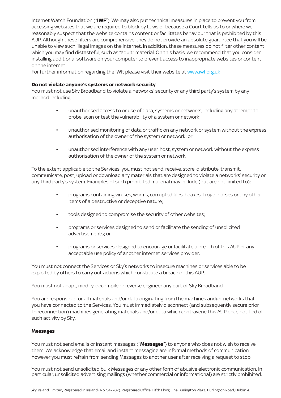Internet Watch Foundation ("**IWF**"). We may also put technical measures in place to prevent you from accessing websites that we are required to block by Laws or because a Court tells us to or where we reasonably suspect that the website contains content or facilitates behaviour that is prohibited by this AUP. Although these filters are comprehensive, they do not provide an absolute guarantee that you will be unable to view such illegal images on the internet. In addition, these measures do not filter other content which you may find distasteful, such as "adult" material. On this basis, we recommend that you consider installing additional software on your computer to prevent access to inappropriate websites or content on the internet.

For further information regarding the IWF, please visit their website at www.iwf.org.uk

#### **Do not violate anyone's systems or network security**

You must not use Sky Broadband to violate a networks' security or any third party's system by any method including:

- unauthorised access to or use of data, systems or networks, including any attempt to probe, scan or test the vulnerability of a system or network;
- unauthorised monitoring of data or traffic on any network or system without the express authorisation of the owner of the system or network; or
- unauthorised interference with any user, host, system or network without the express authorisation of the owner of the system or network.

To the extent applicable to the Services, you must not send, receive, store, distribute, transmit, communicate, post, upload or download any materials that are designed to violate a networks' security or any third party's system. Examples of such prohibited material may include (but are not limited to):

- programs containing viruses, worms, corrupted files, hoaxes, Trojan horses or any other items of a destructive or deceptive nature;
- tools designed to compromise the security of other websites;
- programs or services designed to send or facilitate the sending of unsolicited advertisements; or
- programs or services designed to encourage or facilitate a breach of this AUP or any acceptable use policy of another internet services provider.

You must not connect the Services or Sky's networks to insecure machines or services able to be exploited by others to carry out actions which constitute a breach of this AUP.

You must not adapt, modify, decompile or reverse engineer any part of Sky Broadband.

You are responsible for all materials and/or data originating from the machines and/or networks that you have connected to the Services. You must immediately disconnect (and subsequently secure prior to reconnection) machines generating materials and/or data which contravene this AUP once notified of such activity by Sky.

#### **Messages**

You must not send emails or instant messages ("**Messages**") to anyone who does not wish to receive them. We acknowledge that email and instant messaging are informal methods of communication however you must refrain from sending Messages to another user after receiving a request to stop.

You must not send unsolicited bulk Messages or any other form of abusive electronic communication. In particular, unsolicited advertising mailings (whether commercial or informational) are strictly prohibited.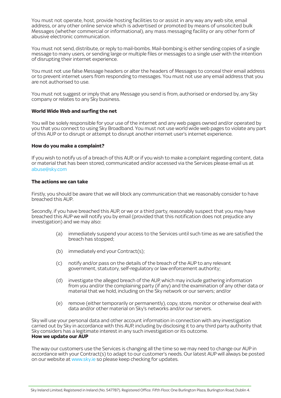You must not operate, host, provide hosting facilities to or assist in any way any web site, email address, or any other online service which is advertised or promoted by means of unsolicited bulk Messages (whether commercial or informational), any mass messaging facility or any other form of abusive electronic communication.

You must not send, distribute, or reply to mail-bombs. Mail-bombing is either sending copies of a single message to many users, or sending large or multiple files or messages to a single user with the intention of disrupting their internet experience.

You must not use false Message headers or alter the headers of Messages to conceal their email address or to prevent internet users from responding to messages. You must not use any email address that you are not authorised to use.

You must not suggest or imply that any Message you send is from, authorised or endorsed by, any Sky company or relates to any Sky business.

#### **World Wide Web and surfing the net**

You will be solely responsible for your use of the internet and any web pages owned and/or operated by you that you connect to using Sky Broadband. You must not use world wide web pages to violate any part of this AUP or to disrupt or attempt to disrupt another internet user's internet experience.

#### **How do you make a complaint?**

If you wish to notify us of a breach of this AUP, or if you wish to make a complaint regarding content, data or material that has been stored, communicated and/or accessed via the Services please email us at abuse@sky.com

#### **The actions we can take**

Firstly, you should be aware that we will block any communication that we reasonably consider to have breached this AUP.

Secondly, if you have breached this AUP, or we or a third party, reasonably suspect that you may have breached this AUP we will notify you by email (provided that this notification does not prejudice any investigation) and we may also:

- (a) immediately suspend your access to the Services until such time as we are satisfied the breach has stopped;
- (b) immediately end your Contract(s);
- (c) notify and/or pass on the details of the breach of the AUP to any relevant government, statutory, self-regulatory or law enforcement authority;
- (d) investigate the alleged breach of the AUP, which may include gathering information from you and/or the complaining party (if any) and the examination of any other data or material that we hold, including on the Sky network or our servers; and/or
- (e) remove (either temporarily or permanently), copy, store, monitor or otherwise deal with data and/or other material on Sky's networks and/or our servers.

Sky will use your personal data and other account information in connection with any investigation carried out by Sky in accordance with this AUP, including by disclosing it to any third party authority that Sky considers has a legitimate interest in any such investigation or its outcome. **How we update our AUP**

The way our customers use the Services is changing all the time so we may need to change our AUP in accordance with your Contract(s) to adapt to our customer's needs. Our latest AUP will always be posted on our website at www.sky.ie so please keep checking for updates.